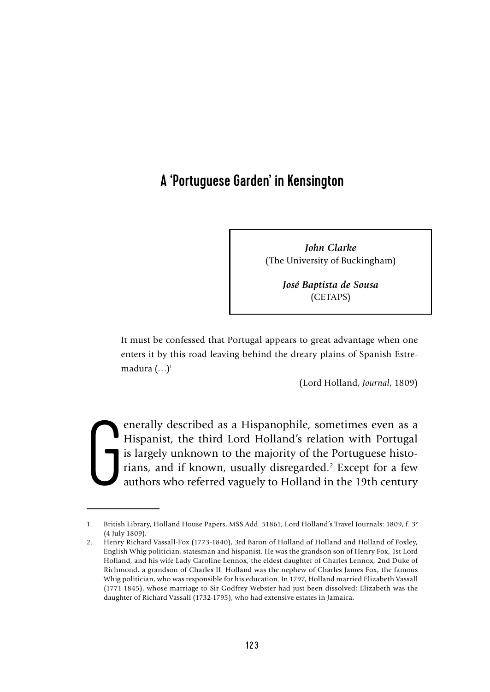# A 'Portuguese Garden' in Kensington

*John Clarke* (The University of Buckingham)

> *José Baptista de Sousa* (CETAPS)

It must be confessed that Portugal appears to great advantage when one enters it by this road leaving behind the dreary plains of Spanish Estremadura  $(\ldots)^1$ 

(Lord Holland, *Journal*, 1809)

G enerally described as a Hispanophile, sometimes even as a Hispanist, the third Lord Holland's relation with Portugal is largely unknown to the majority of the Portuguese historians, and if known, usually disregarded.<sup>2</sup> Except for a few authors who referred vaguely to Holland in the 19th century

<sup>1.</sup> British Library, Holland House Papers, MSS Add. 51861, Lord Holland's Travel Journals: 1809, f. 3v (4 July 1809).

<sup>2.</sup> Henry Richard Vassall-Fox (1773-1840), 3rd Baron of Holland of Holland and Holland of Foxley, English Whig politician, statesman and hispanist. He was the grandson son of Henry Fox, 1st Lord Holland, and his wife Lady Caroline Lennox, the eldest daughter of Charles Lennox, 2nd Duke of Richmond, a grandson of Charles II. Holland was the nephew of Charles James Fox, the famous Whig politician, who was responsible for his education. In 1797, Holland married Elizabeth Vassall (1771-1845), whose marriage to Sir Godfrey Webster had just been dissolved; Elizabeth was the daughter of Richard Vassall (1732-1795), who had extensive estates in Jamaica.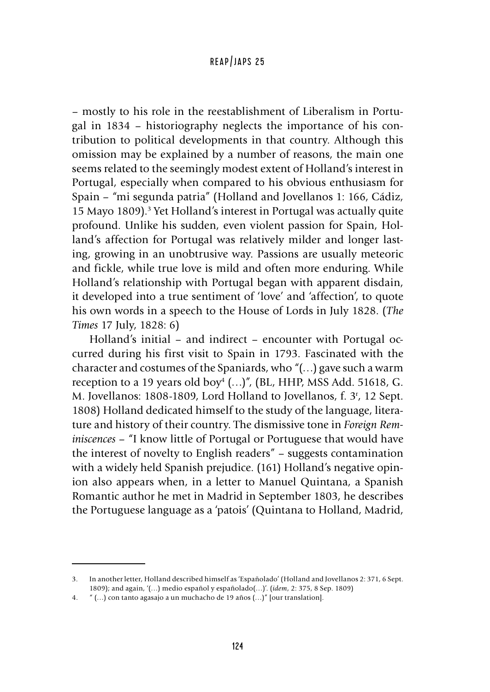– mostly to his role in the reestablishment of Liberalism in Portugal in 1834 – historiography neglects the importance of his contribution to political developments in that country. Although this omission may be explained by a number of reasons, the main one seems related to the seemingly modest extent of Holland's interest in Portugal, especially when compared to his obvious enthusiasm for Spain – "mi segunda patria" (Holland and Jovellanos 1: 166, Cádiz, 15 Mayo 1809).<sup>3</sup> Yet Holland's interest in Portugal was actually quite profound. Unlike his sudden, even violent passion for Spain, Holland's affection for Portugal was relatively milder and longer lasting, growing in an unobtrusive way. Passions are usually meteoric and fickle, while true love is mild and often more enduring. While Holland's relationship with Portugal began with apparent disdain, it developed into a true sentiment of 'love' and 'affection', to quote his own words in a speech to the House of Lords in July 1828. (*The Times* 17 July, 1828: 6)

Holland's initial – and indirect – encounter with Portugal occurred during his first visit to Spain in 1793. Fascinated with the character and costumes of the Spaniards, who "(…) gave such a warm reception to a 19 years old boy<sup>4</sup> (...)", (BL, HHP, MSS Add. 51618, G. M. Jovellanos: 1808-1809, Lord Holland to Jovellanos, f. 3r , 12 Sept. 1808) Holland dedicated himself to the study of the language, literature and history of their country. The dismissive tone in *Foreign Reminiscences* – "I know little of Portugal or Portuguese that would have the interest of novelty to English readers" – suggests contamination with a widely held Spanish prejudice. (161) Holland's negative opinion also appears when, in a letter to Manuel Quintana, a Spanish Romantic author he met in Madrid in September 1803, he describes the Portuguese language as a 'patois' (Quintana to Holland, Madrid,

<sup>3.</sup> In another letter, Holland described himself as 'Españolado' (Holland and Jovellanos 2: 371, 6 Sept. 1809); and again, '(…) medio español y españolado(…)'. (*idem*, 2: 375, 8 Sep. 1809)

<sup>4.</sup> " (…) con tanto agasajo a un muchacho de 19 años (…)" [our translation].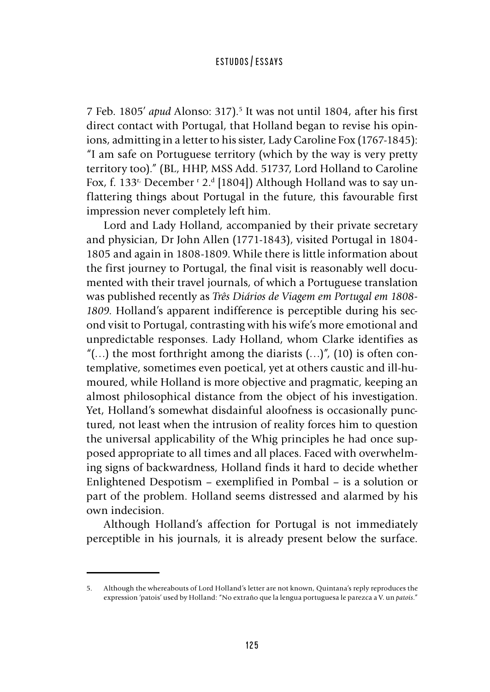7 Feb. 1805' *apud* Alonso: 317).<sup>5</sup> It was not until 1804, after his first direct contact with Portugal, that Holland began to revise his opinions, admitting in a letter to his sister, Lady Caroline Fox (1767-1845): "I am safe on Portuguese territory (which by the way is very pretty territory too)." (BL, HHP, MSS Add. 51737, Lord Holland to Caroline Fox, f. 133r, December r 2.d [1804]) Although Holland was to say unflattering things about Portugal in the future, this favourable first impression never completely left him.

Lord and Lady Holland, accompanied by their private secretary and physician, Dr John Allen (1771-1843), visited Portugal in 1804- 1805 and again in 1808-1809. While there is little information about the first journey to Portugal, the final visit is reasonably well documented with their travel journals, of which a Portuguese translation was published recently as *Três Diários de Viagem em Portugal em 1808- 1809*. Holland's apparent indifference is perceptible during his second visit to Portugal, contrasting with his wife's more emotional and unpredictable responses. Lady Holland, whom Clarke identifies as "(...) the most forthright among the diarists  $(...)$ ", (10) is often contemplative, sometimes even poetical, yet at others caustic and ill-humoured, while Holland is more objective and pragmatic, keeping an almost philosophical distance from the object of his investigation. Yet, Holland's somewhat disdainful aloofness is occasionally punctured, not least when the intrusion of reality forces him to question the universal applicability of the Whig principles he had once supposed appropriate to all times and all places. Faced with overwhelming signs of backwardness, Holland finds it hard to decide whether Enlightened Despotism – exemplified in Pombal – is a solution or part of the problem. Holland seems distressed and alarmed by his own indecision.

Although Holland's affection for Portugal is not immediately perceptible in his journals, it is already present below the surface.

<sup>5.</sup> Although the whereabouts of Lord Holland's letter are not known, Quintana's reply reproduces the expression 'patois' used by Holland: "No extraño que la lengua portuguesa le parezca a V. un *patois*."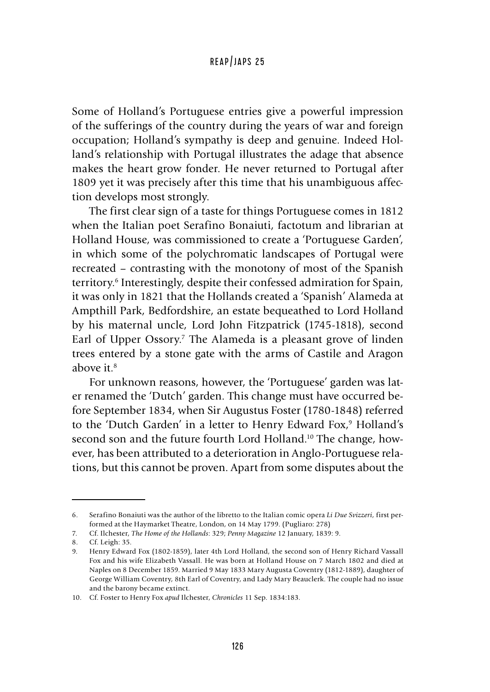Some of Holland's Portuguese entries give a powerful impression of the sufferings of the country during the years of war and foreign occupation; Holland's sympathy is deep and genuine. Indeed Holland's relationship with Portugal illustrates the adage that absence makes the heart grow fonder. He never returned to Portugal after 1809 yet it was precisely after this time that his unambiguous affection develops most strongly.

The first clear sign of a taste for things Portuguese comes in 1812 when the Italian poet Serafino Bonaiuti, factotum and librarian at Holland House, was commissioned to create a 'Portuguese Garden', in which some of the polychromatic landscapes of Portugal were recreated – contrasting with the monotony of most of the Spanish territory.6 Interestingly, despite their confessed admiration for Spain, it was only in 1821 that the Hollands created a 'Spanish' Alameda at Ampthill Park, Bedfordshire, an estate bequeathed to Lord Holland by his maternal uncle, Lord John Fitzpatrick (1745-1818), second Earl of Upper Ossory.<sup>7</sup> The Alameda is a pleasant grove of linden trees entered by a stone gate with the arms of Castile and Aragon above it  $8$ 

For unknown reasons, however, the 'Portuguese' garden was later renamed the 'Dutch' garden. This change must have occurred before September 1834, when Sir Augustus Foster (1780-1848) referred to the 'Dutch Garden' in a letter to Henry Edward Fox,<sup>9</sup> Holland's second son and the future fourth Lord Holland.<sup>10</sup> The change, however, has been attributed to a deterioration in Anglo-Portuguese relations, but this cannot be proven. Apart from some disputes about the

<sup>6.</sup> Serafino Bonaiuti was the author of the libretto to the Italian comic opera *Li Due Svizzeri*, first performed at the Haymarket Theatre, London, on 14 May 1799. (Pugliaro: 278)

<sup>7.</sup> Cf. Ilchester, *The Home of the Hollands*: 329; *Penny Magazine* 12 January, 1839: 9.

<sup>8.</sup> Cf. Leigh: 35.

<sup>9.</sup> Henry Edward Fox (1802-1859), later 4th Lord Holland, the second son of Henry Richard Vassall Fox and his wife Elizabeth Vassall. He was born at Holland House on 7 March 1802 and died at Naples on 8 December 1859. Married 9 May 1833 Mary Augusta Coventry (1812-1889), daughter of George William Coventry, 8th Earl of Coventry, and Lady Mary Beauclerk. The couple had no issue and the barony became extinct.

<sup>10.</sup> Cf. Foster to Henry Fox *apud* Ilchester, *Chronicles* 11 Sep. 1834:183.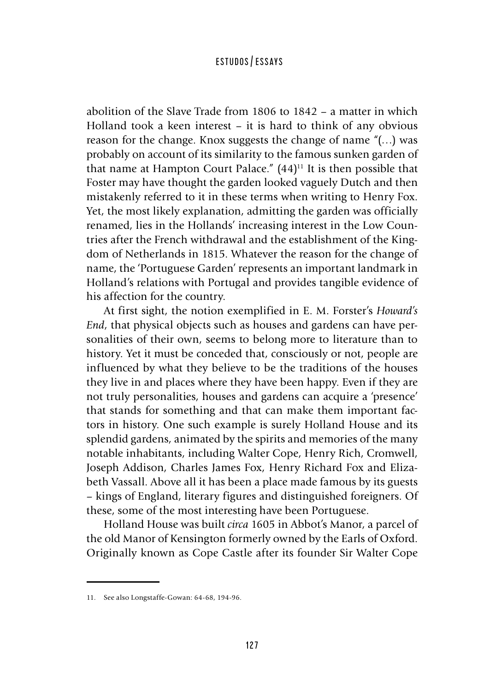abolition of the Slave Trade from 1806 to 1842 – a matter in which Holland took a keen interest – it is hard to think of any obvious reason for the change. Knox suggests the change of name "(…) was probably on account of its similarity to the famous sunken garden of that name at Hampton Court Palace."  $(44)^{11}$  It is then possible that Foster may have thought the garden looked vaguely Dutch and then mistakenly referred to it in these terms when writing to Henry Fox. Yet, the most likely explanation, admitting the garden was officially renamed, lies in the Hollands' increasing interest in the Low Countries after the French withdrawal and the establishment of the Kingdom of Netherlands in 1815. Whatever the reason for the change of name, the 'Portuguese Garden' represents an important landmark in Holland's relations with Portugal and provides tangible evidence of his affection for the country.

At first sight, the notion exemplified in E. M. Forster's *Howard's End*, that physical objects such as houses and gardens can have personalities of their own, seems to belong more to literature than to history. Yet it must be conceded that, consciously or not, people are influenced by what they believe to be the traditions of the houses they live in and places where they have been happy. Even if they are not truly personalities, houses and gardens can acquire a 'presence' that stands for something and that can make them important factors in history. One such example is surely Holland House and its splendid gardens, animated by the spirits and memories of the many notable inhabitants, including Walter Cope, Henry Rich, Cromwell, Joseph Addison, Charles James Fox, Henry Richard Fox and Elizabeth Vassall. Above all it has been a place made famous by its guests – kings of England, literary figures and distinguished foreigners. Of these, some of the most interesting have been Portuguese.

Holland House was built *circa* 1605 in Abbot's Manor, a parcel of the old Manor of Kensington formerly owned by the Earls of Oxford. Originally known as Cope Castle after its founder Sir Walter Cope

<sup>11.</sup> See also Longstaffe-Gowan: 64-68, 194-96.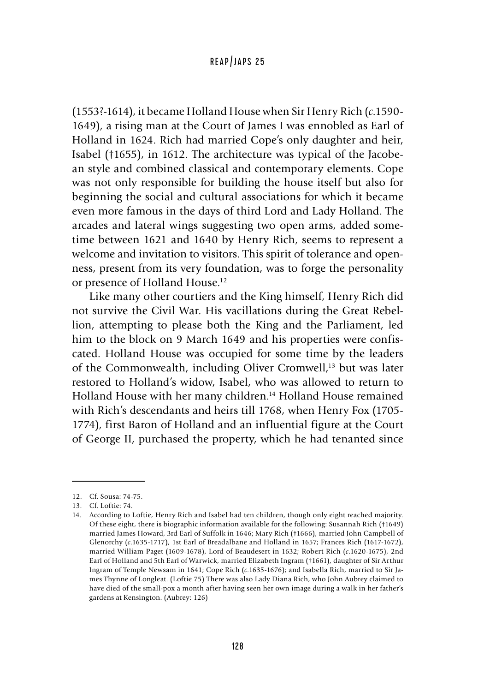(1553?-1614), it became Holland House when Sir Henry Rich (*c*.1590- 1649), a rising man at the Court of James I was ennobled as Earl of Holland in 1624. Rich had married Cope's only daughter and heir, Isabel (†1655), in 1612. The architecture was typical of the Jacobean style and combined classical and contemporary elements. Cope was not only responsible for building the house itself but also for beginning the social and cultural associations for which it became even more famous in the days of third Lord and Lady Holland. The arcades and lateral wings suggesting two open arms, added sometime between 1621 and 1640 by Henry Rich, seems to represent a welcome and invitation to visitors. This spirit of tolerance and openness, present from its very foundation, was to forge the personality or presence of Holland House.<sup>12</sup>

Like many other courtiers and the King himself, Henry Rich did not survive the Civil War. His vacillations during the Great Rebellion, attempting to please both the King and the Parliament, led him to the block on 9 March 1649 and his properties were confiscated. Holland House was occupied for some time by the leaders of the Commonwealth, including Oliver Cromwell,<sup>13</sup> but was later restored to Holland's widow, Isabel, who was allowed to return to Holland House with her many children.14 Holland House remained with Rich's descendants and heirs till 1768, when Henry Fox (1705- 1774), first Baron of Holland and an influential figure at the Court of George II, purchased the property, which he had tenanted since

<sup>12.</sup> Cf. Sousa: 74-75.

<sup>13.</sup> Cf. Loftie: 74.

<sup>14.</sup> According to Loftie, Henry Rich and Isabel had ten children, though only eight reached majority. Of these eight, there is biographic information available for the following: Susannah Rich (†1649) married James Howard, 3rd Earl of Suffolk in 1646; Mary Rich (†1666), married John Campbell of Glenorchy (*c*.1635-1717), 1st Earl of Breadalbane and Holland in 1657; Frances Rich (1617-1672), married William Paget (1609-1678), Lord of Beaudesert in 1632; Robert Rich (*c*.1620-1675), 2nd Earl of Holland and 5th Earl of Warwick, married Elizabeth Ingram (†1661), daughter of Sir Arthur Ingram of Temple Newsam in 1641; Cope Rich (*c*.1635-1676); and Isabella Rich, married to Sir James Thynne of Longleat. (Loftie 75) There was also Lady Diana Rich, who John Aubrey claimed to have died of the small-pox a month after having seen her own image during a walk in her father's gardens at Kensington. (Aubrey: 126)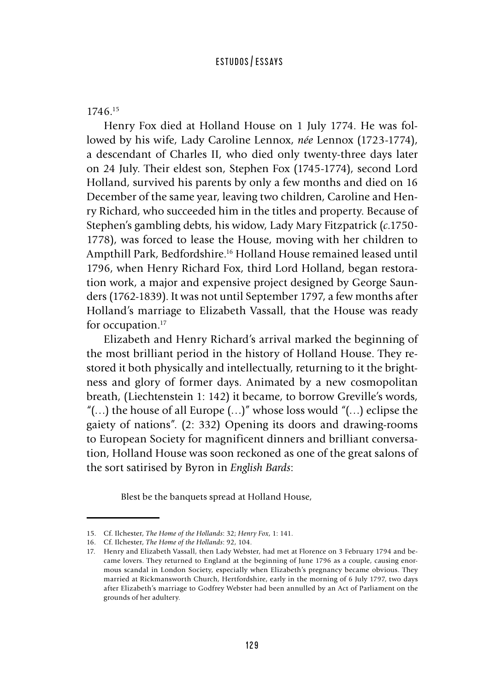#### 1746.15

Henry Fox died at Holland House on 1 July 1774. He was followed by his wife, Lady Caroline Lennox, *née* Lennox (1723-1774), a descendant of Charles II, who died only twenty-three days later on 24 July. Their eldest son, Stephen Fox (1745-1774), second Lord Holland, survived his parents by only a few months and died on 16 December of the same year, leaving two children, Caroline and Henry Richard, who succeeded him in the titles and property. Because of Stephen's gambling debts, his widow, Lady Mary Fitzpatrick (*c*.1750- 1778), was forced to lease the House, moving with her children to Ampthill Park, Bedfordshire.16 Holland House remained leased until 1796, when Henry Richard Fox, third Lord Holland, began restoration work, a major and expensive project designed by George Saunders (1762-1839). It was not until September 1797, a few months after Holland's marriage to Elizabeth Vassall, that the House was ready for occupation.<sup>17</sup>

Elizabeth and Henry Richard's arrival marked the beginning of the most brilliant period in the history of Holland House. They restored it both physically and intellectually, returning to it the brightness and glory of former days. Animated by a new cosmopolitan breath, (Liechtenstein 1: 142) it became, to borrow Greville's words, "(...) the house of all Europe  $(...)$ " whose loss would "(...) eclipse the gaiety of nations". (2: 332) Opening its doors and drawing-rooms to European Society for magnificent dinners and brilliant conversation, Holland House was soon reckoned as one of the great salons of the sort satirised by Byron in *English Bards*:

Blest be the banquets spread at Holland House,

<sup>15.</sup> Cf. Ilchester, *The Home of the Hollands*: 32; *Henry Fox*, 1: 141.

<sup>16.</sup> Cf. Ilchester, *The Home of the Hollands*: 92, 104.

<sup>17.</sup> Henry and Elizabeth Vassall, then Lady Webster, had met at Florence on 3 February 1794 and became lovers. They returned to England at the beginning of June 1796 as a couple, causing enormous scandal in London Society, especially when Elizabeth's pregnancy became obvious. They married at Rickmansworth Church, Hertfordshire, early in the morning of 6 July 1797, two days after Elizabeth's marriage to Godfrey Webster had been annulled by an Act of Parliament on the grounds of her adultery.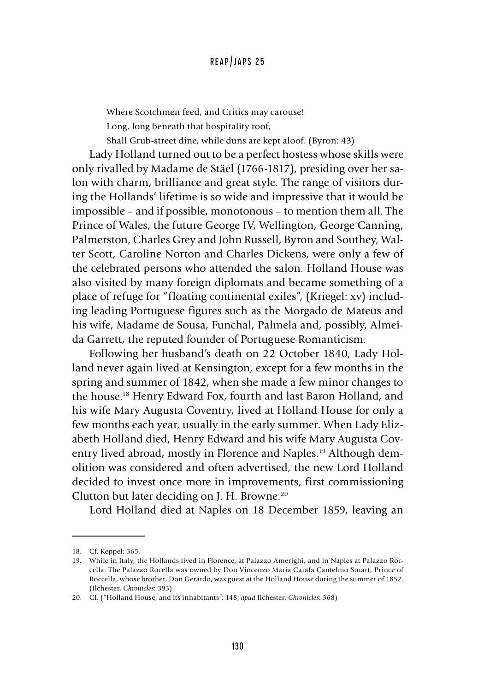Where Scotchmen feed, and Critics may carouse! Long, long beneath that hospitality roof,

Shall Grub-street dine, while duns are kept aloof. (Byron: 43)

Lady Holland turned out to be a perfect hostess whose skills were only rivalled by Madame de Stäel (1766-1817), presiding over her salon with charm, brilliance and great style. The range of visitors during the Hollands' lifetime is so wide and impressive that it would be impossible – and if possible, monotonous – to mention them all. The Prince of Wales, the future George IV, Wellington, George Canning, Palmerston, Charles Grey and John Russell, Byron and Southey, Walter Scott, Caroline Norton and Charles Dickens, were only a few of the celebrated persons who attended the salon. Holland House was also visited by many foreign diplomats and became something of a place of refuge for "floating continental exiles", (Kriegel: xv) including leading Portuguese figures such as the Morgado de Mateus and his wife, Madame de Sousa, Funchal, Palmela and, possibly, Almeida Garrett, the reputed founder of Portuguese Romanticism.

Following her husband's death on 22 October 1840, Lady Holland never again lived at Kensington, except for a few months in the spring and summer of 1842, when she made a few minor changes to the house.18 Henry Edward Fox, fourth and last Baron Holland, and his wife Mary Augusta Coventry, lived at Holland House for only a few months each year, usually in the early summer. When Lady Elizabeth Holland died, Henry Edward and his wife Mary Augusta Coventry lived abroad, mostly in Florence and Naples.<sup>19</sup> Although demolition was considered and often advertised, the new Lord Holland decided to invest once more in improvements, first commissioning Clutton but later deciding on J. H. Browne.20

Lord Holland died at Naples on 18 December 1859, leaving an

<sup>18.</sup> Cf. Keppel: 365.

<sup>19.</sup> While in Italy, the Hollands lived in Florence, at Palazzo Amerighi, and in Naples at Palazzo Roccella. The Palazzo Rocella was owned by Don Vincenzo Maria Carafa Cantelmo Stuart, Prince of Roccella, whose brother, Don Gerardo, was guest at the Holland House during the summer of 1852. (Ilchester, *Chronicles*: 393)

<sup>20.</sup> Cf. ("Holland House, and its inhabitants": 148; *apud* Ilchester, *Chronicles*: 368)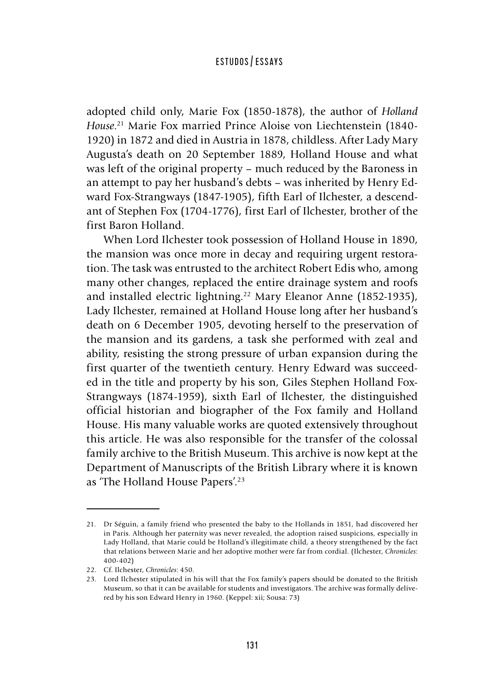adopted child only, Marie Fox (1850-1878), the author of *Holland House*. 21 Marie Fox married Prince Aloise von Liechtenstein (1840- 1920) in 1872 and died in Austria in 1878, childless. After Lady Mary Augusta's death on 20 September 1889, Holland House and what was left of the original property – much reduced by the Baroness in an attempt to pay her husband's debts – was inherited by Henry Edward Fox-Strangways (1847-1905), fifth Earl of Ilchester, a descendant of Stephen Fox (1704-1776), first Earl of Ilchester, brother of the first Baron Holland.

When Lord Ilchester took possession of Holland House in 1890, the mansion was once more in decay and requiring urgent restoration. The task was entrusted to the architect Robert Edis who, among many other changes, replaced the entire drainage system and roofs and installed electric lightning.<sup>22</sup> Mary Eleanor Anne (1852-1935), Lady Ilchester, remained at Holland House long after her husband's death on 6 December 1905, devoting herself to the preservation of the mansion and its gardens, a task she performed with zeal and ability, resisting the strong pressure of urban expansion during the first quarter of the twentieth century. Henry Edward was succeeded in the title and property by his son, Giles Stephen Holland Fox-Strangways (1874-1959), sixth Earl of Ilchester, the distinguished official historian and biographer of the Fox family and Holland House. His many valuable works are quoted extensively throughout this article. He was also responsible for the transfer of the colossal family archive to the British Museum. This archive is now kept at the Department of Manuscripts of the British Library where it is known as 'The Holland House Papers'.23

<sup>21.</sup> Dr Séguin, a family friend who presented the baby to the Hollands in 1851, had discovered her in Paris. Although her paternity was never revealed, the adoption raised suspicions, especially in Lady Holland, that Marie could be Holland's illegitimate child, a theory strengthened by the fact that relations between Marie and her adoptive mother were far from cordial. (Ilchester, *Chronicles*: 400-402)

<sup>22.</sup> Cf. Ilchester, *Chronicles*: 450.

<sup>23.</sup> Lord Ilchester stipulated in his will that the Fox family's papers should be donated to the British Museum, so that it can be available for students and investigators. The archive was formally delivered by his son Edward Henry in 1960. (Keppel: xii; Sousa: 73)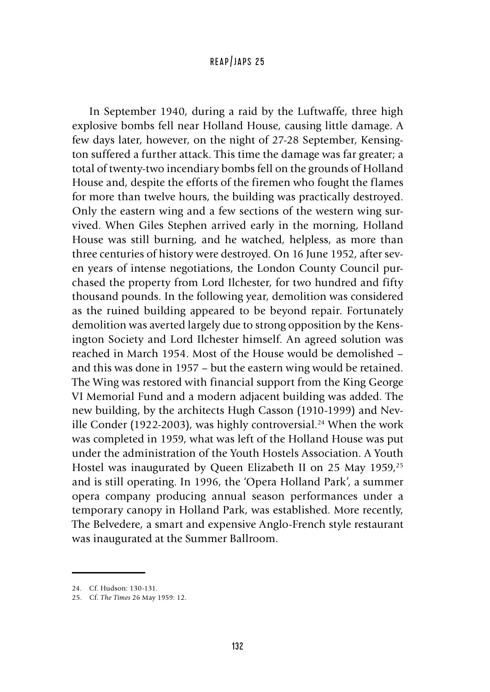In September 1940, during a raid by the Luftwaffe, three high explosive bombs fell near Holland House, causing little damage. A few days later, however, on the night of 27-28 September, Kensington suffered a further attack. This time the damage was far greater; a total of twenty-two incendiary bombs fell on the grounds of Holland House and, despite the efforts of the firemen who fought the flames for more than twelve hours, the building was practically destroyed. Only the eastern wing and a few sections of the western wing survived. When Giles Stephen arrived early in the morning, Holland House was still burning, and he watched, helpless, as more than three centuries of history were destroyed. On 16 June 1952, after seven years of intense negotiations, the London County Council purchased the property from Lord Ilchester, for two hundred and fifty thousand pounds. In the following year, demolition was considered as the ruined building appeared to be beyond repair. Fortunately demolition was averted largely due to strong opposition by the Kensington Society and Lord Ilchester himself. An agreed solution was reached in March 1954. Most of the House would be demolished – and this was done in 1957 – but the eastern wing would be retained. The Wing was restored with financial support from the King George VI Memorial Fund and a modern adjacent building was added. The new building, by the architects Hugh Casson (1910-1999) and Neville Conder (1922-2003), was highly controversial.<sup>24</sup> When the work was completed in 1959, what was left of the Holland House was put under the administration of the Youth Hostels Association. A Youth Hostel was inaugurated by Queen Elizabeth II on 25 May 1959,<sup>25</sup> and is still operating. In 1996, the 'Opera Holland Park', a summer opera company producing annual season performances under a temporary canopy in Holland Park, was established. More recently, The Belvedere, a smart and expensive Anglo-French style restaurant was inaugurated at the Summer Ballroom.

<sup>24.</sup> Cf. Hudson: 130-131.

<sup>25.</sup> Cf. *The Times* 26 May 1959: 12.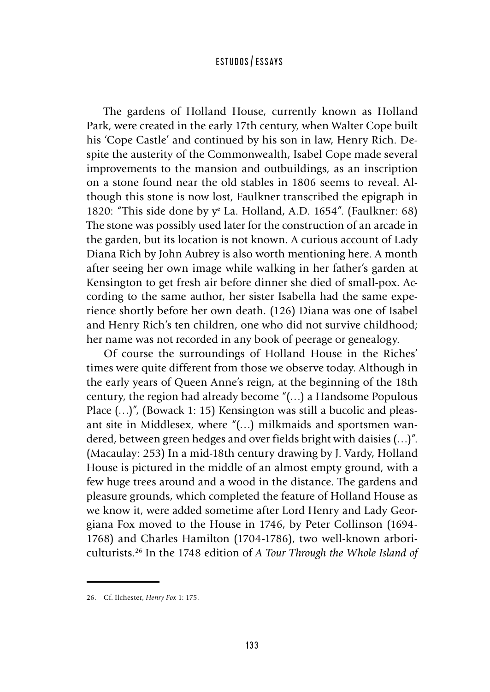The gardens of Holland House, currently known as Holland Park, were created in the early 17th century, when Walter Cope built his 'Cope Castle' and continued by his son in law, Henry Rich. Despite the austerity of the Commonwealth, Isabel Cope made several improvements to the mansion and outbuildings, as an inscription on a stone found near the old stables in 1806 seems to reveal. Although this stone is now lost, Faulkner transcribed the epigraph in 1820: "This side done by  $y^e$  La. Holland, A.D. 1654". (Faulkner: 68) The stone was possibly used later for the construction of an arcade in the garden, but its location is not known. A curious account of Lady Diana Rich by John Aubrey is also worth mentioning here. A month after seeing her own image while walking in her father's garden at Kensington to get fresh air before dinner she died of small-pox. According to the same author, her sister Isabella had the same experience shortly before her own death. (126) Diana was one of Isabel and Henry Rich's ten children, one who did not survive childhood; her name was not recorded in any book of peerage or genealogy.

Of course the surroundings of Holland House in the Riches' times were quite different from those we observe today. Although in the early years of Queen Anne's reign, at the beginning of the 18th century, the region had already become "(…) a Handsome Populous Place  $(...)$ ", (Bowack 1: 15) Kensington was still a bucolic and pleasant site in Middlesex, where "(…) milkmaids and sportsmen wandered, between green hedges and over fields bright with daisies (…)". (Macaulay: 253) In a mid-18th century drawing by J. Vardy, Holland House is pictured in the middle of an almost empty ground, with a few huge trees around and a wood in the distance. The gardens and pleasure grounds, which completed the feature of Holland House as we know it, were added sometime after Lord Henry and Lady Georgiana Fox moved to the House in 1746, by Peter Collinson (1694- 1768) and Charles Hamilton (1704-1786), two well-known arboriculturists.26 In the 1748 edition of *A Tour Through the Whole Island of* 

<sup>26.</sup> Cf. Ilchester, *Henry Fox* 1: 175.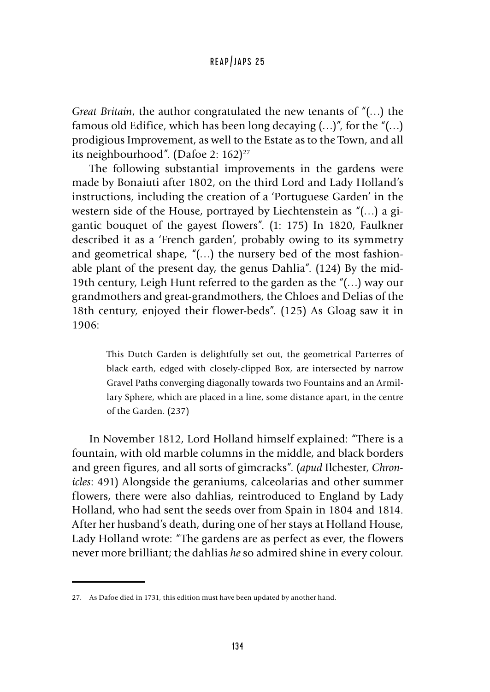*Great Britain*, the author congratulated the new tenants of "(…) the famous old Edifice, which has been long decaying  $(...)''$ , for the " $(...)$ prodigious Improvement, as well to the Estate as to the Town, and all its neighbourhood". (Dafoe 2:  $162$ )<sup>27</sup>

The following substantial improvements in the gardens were made by Bonaiuti after 1802, on the third Lord and Lady Holland's instructions, including the creation of a 'Portuguese Garden' in the western side of the House, portrayed by Liechtenstein as "(…) a gigantic bouquet of the gayest flowers". (1: 175) In 1820, Faulkner described it as a 'French garden', probably owing to its symmetry and geometrical shape, "(…) the nursery bed of the most fashionable plant of the present day, the genus Dahlia". (124) By the mid-19th century, Leigh Hunt referred to the garden as the "(…) way our grandmothers and great-grandmothers, the Chloes and Delias of the 18th century, enjoyed their flower-beds". (125) As Gloag saw it in 1906:

This Dutch Garden is delightfully set out, the geometrical Parterres of black earth, edged with closely-clipped Box, are intersected by narrow Gravel Paths converging diagonally towards two Fountains and an Armillary Sphere, which are placed in a line, some distance apart, in the centre of the Garden. (237)

In November 1812, Lord Holland himself explained: "There is a fountain, with old marble columns in the middle, and black borders and green figures, and all sorts of gimcracks". (*apud* Ilchester, *Chronicles*: 491) Alongside the geraniums, calceolarias and other summer flowers, there were also dahlias, reintroduced to England by Lady Holland, who had sent the seeds over from Spain in 1804 and 1814. After her husband's death, during one of her stays at Holland House, Lady Holland wrote: "The gardens are as perfect as ever, the flowers never more brilliant; the dahlias *he* so admired shine in every colour.

<sup>27.</sup> As Dafoe died in 1731, this edition must have been updated by another hand.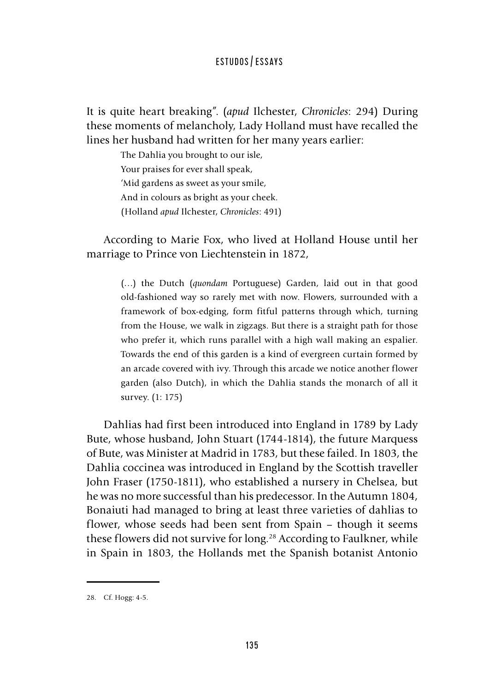It is quite heart breaking". (*apud* Ilchester, *Chronicles*: 294) During these moments of melancholy, Lady Holland must have recalled the lines her husband had written for her many years earlier:

> The Dahlia you brought to our isle, Your praises for ever shall speak, 'Mid gardens as sweet as your smile, And in colours as bright as your cheek. (Holland *apud* Ilchester, *Chronicles*: 491)

According to Marie Fox, who lived at Holland House until her marriage to Prince von Liechtenstein in 1872,

> (…) the Dutch (*quondam* Portuguese) Garden, laid out in that good old-fashioned way so rarely met with now. Flowers, surrounded with a framework of box-edging, form fitful patterns through which, turning from the House, we walk in zigzags. But there is a straight path for those who prefer it, which runs parallel with a high wall making an espalier. Towards the end of this garden is a kind of evergreen curtain formed by an arcade covered with ivy. Through this arcade we notice another flower garden (also Dutch), in which the Dahlia stands the monarch of all it survey. (1: 175)

Dahlias had first been introduced into England in 1789 by Lady Bute, whose husband, John Stuart (1744-1814), the future Marquess of Bute, was Minister at Madrid in 1783, but these failed. In 1803, the Dahlia coccinea was introduced in England by the Scottish traveller John Fraser (1750-1811), who established a nursery in Chelsea, but he was no more successful than his predecessor. In the Autumn 1804, Bonaiuti had managed to bring at least three varieties of dahlias to flower, whose seeds had been sent from Spain – though it seems these flowers did not survive for long.<sup>28</sup> According to Faulkner, while in Spain in 1803, the Hollands met the Spanish botanist Antonio

<sup>28.</sup> Cf. Hogg: 4-5.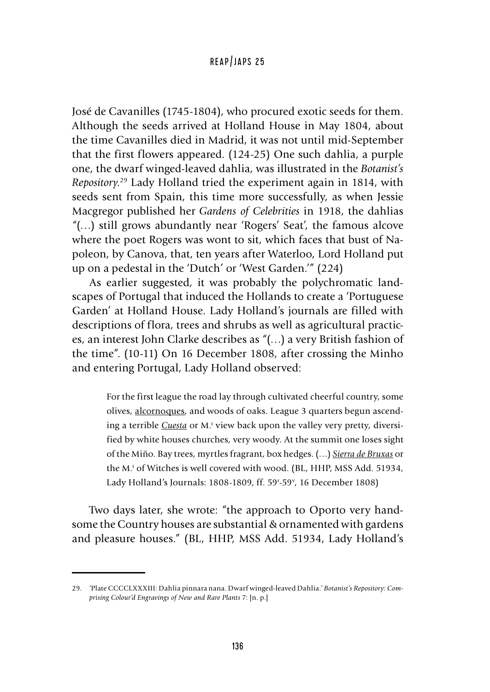José de Cavanilles (1745-1804), who procured exotic seeds for them. Although the seeds arrived at Holland House in May 1804, about the time Cavanilles died in Madrid, it was not until mid-September that the first flowers appeared. (124-25) One such dahlia, a purple one, the dwarf winged-leaved dahlia, was illustrated in the *Botanist's Repository*. <sup>29</sup> Lady Holland tried the experiment again in 1814, with seeds sent from Spain, this time more successfully, as when Jessie Macgregor published her *Gardens of Celebrities* in 1918, the dahlias "(…) still grows abundantly near 'Rogers' Seat', the famous alcove where the poet Rogers was wont to sit, which faces that bust of Napoleon, by Canova, that, ten years after Waterloo, Lord Holland put up on a pedestal in the 'Dutch' or 'West Garden.'" (224)

As earlier suggested, it was probably the polychromatic landscapes of Portugal that induced the Hollands to create a 'Portuguese Garden' at Holland House. Lady Holland's journals are filled with descriptions of flora, trees and shrubs as well as agricultural practices, an interest John Clarke describes as "(…) a very British fashion of the time". (10-11) On 16 December 1808, after crossing the Minho and entering Portugal, Lady Holland observed:

> For the first league the road lay through cultivated cheerful country, some olives, alcornoques, and woods of oaks. League 3 quarters begun ascending a terrible *Cuesta* or M.<sup>t</sup> view back upon the valley very pretty, diversified by white houses churches, very woody. At the summit one loses sight of the Miño. Bay trees, myrtles fragrant, box hedges. (…) *Sierra de Bruxas* or the M.<sup>t</sup> of Witches is well covered with wood. (BL, HHP, MSS Add. 51934, Lady Holland's Journals: 1808-1809, ff. 59r -59v , 16 December 1808)

Two days later, she wrote: "the approach to Oporto very handsome the Country houses are substantial & ornamented with gardens and pleasure houses." (BL, HHP, MSS Add. 51934, Lady Holland's

<sup>29.</sup> 'Plate CCCCLXXXIII: Dahlia pinnara nana. Dwarf winged-leaved Dahlia.' *Botanist's Repository: Comprising Colour'd Engravings of New and Rare Plants* 7: [n. p.]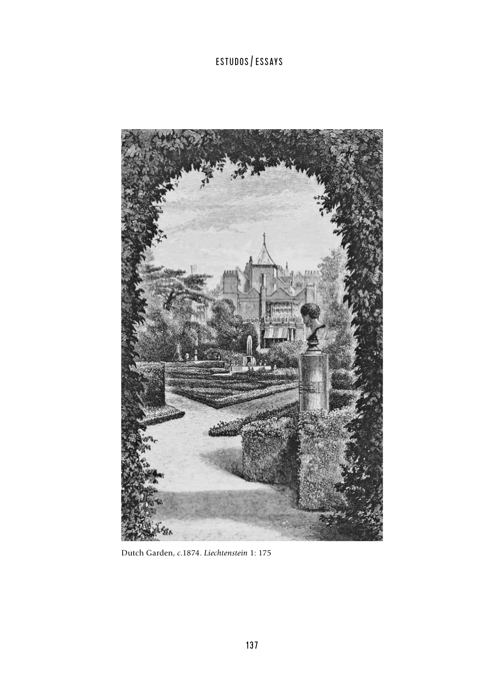

Dutch Garden, *c*.1874. *Liechtenstein* 1: 175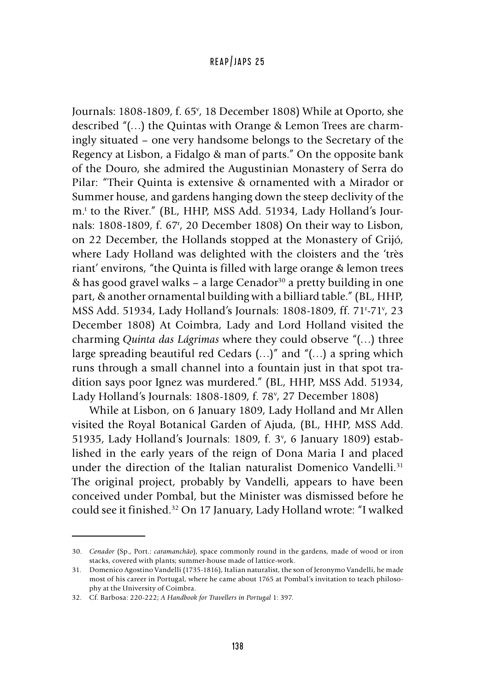Journals: 1808-1809, f. 65<sup>v</sup>, 18 December 1808) While at Oporto, she described "(…) the Quintas with Orange & Lemon Trees are charmingly situated – one very handsome belongs to the Secretary of the Regency at Lisbon, a Fidalgo & man of parts." On the opposite bank of the Douro, she admired the Augustinian Monastery of Serra do Pilar: "Their Quinta is extensive & ornamented with a Mirador or Summer house, and gardens hanging down the steep declivity of the m.t to the River." (BL, HHP, MSS Add. 51934, Lady Holland's Journals: 1808-1809, f. 67r , 20 December 1808) On their way to Lisbon, on 22 December, the Hollands stopped at the Monastery of Grijó, where Lady Holland was delighted with the cloisters and the 'très riant' environs, "the Quinta is filled with large orange & lemon trees  $\&$  has good gravel walks – a large Cenador<sup>30</sup> a pretty building in one part, & another ornamental building with a billiard table." (BL, HHP, MSS Add. 51934, Lady Holland's Journals: 1808-1809, ff. 71<sup>.</sup>-71<sup>,</sup>, 23 December 1808) At Coimbra, Lady and Lord Holland visited the charming *Quinta das Lágrimas* where they could observe "(…) three large spreading beautiful red Cedars  $(...)$ " and " $(...)$ " a spring which runs through a small channel into a fountain just in that spot tradition says poor Ignez was murdered." (BL, HHP, MSS Add. 51934, Lady Holland's Journals: 1808-1809, f. 78<sup>v</sup>, 27 December 1808)

While at Lisbon, on 6 January 1809, Lady Holland and Mr Allen visited the Royal Botanical Garden of Ajuda, (BL, HHP, MSS Add. 51935, Lady Holland's Journals: 1809, f. 3<sup>v</sup>, 6 January 1809) established in the early years of the reign of Dona Maria I and placed under the direction of the Italian naturalist Domenico Vandelli.<sup>31</sup> The original project, probably by Vandelli, appears to have been conceived under Pombal, but the Minister was dismissed before he could see it finished.32 On 17 January, Lady Holland wrote: "I walked

<sup>30.</sup> *Cenador* (Sp., Port.: *caramanchão*), space commonly round in the gardens, made of wood or iron stacks, covered with plants; summer-house made of lattice-work.

<sup>31.</sup> Domenico Agostino Vandelli (1735-1816), Italian naturalist, the son of Jeronymo Vandelli, he made most of his career in Portugal, where he came about 1765 at Pombal's invitation to teach philosophy at the University of Coimbra.

<sup>32.</sup> Cf. Barbosa: 220-222; *A Handbook for Travellers in Portugal* 1: 397.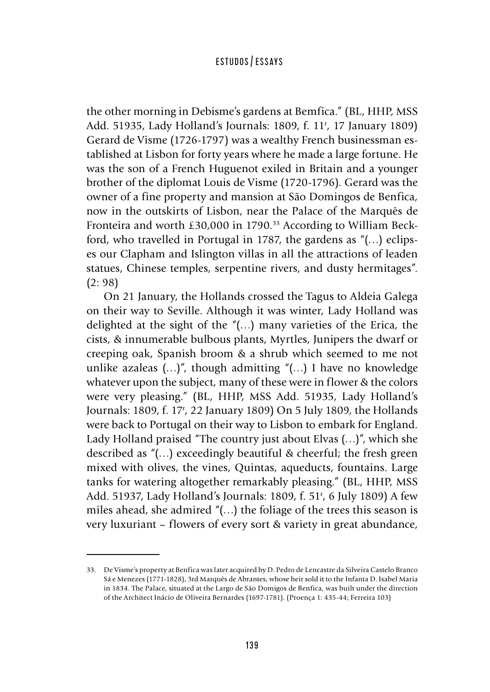the other morning in Debisme's gardens at Bemfica." (BL, HHP, MSS Add. 51935, Lady Holland's Journals: 1809, f. 11r , 17 January 1809) Gerard de Visme (1726-1797) was a wealthy French businessman established at Lisbon for forty years where he made a large fortune. He was the son of a French Huguenot exiled in Britain and a younger brother of the diplomat Louis de Visme (1720-1796). Gerard was the owner of a fine property and mansion at São Domingos de Benfica, now in the outskirts of Lisbon, near the Palace of the Marquês de Fronteira and worth £30,000 in 1790.<sup>33</sup> According to William Beckford, who travelled in Portugal in 1787, the gardens as "(…) eclipses our Clapham and Islington villas in all the attractions of leaden statues, Chinese temples, serpentine rivers, and dusty hermitages". (2: 98)

On 21 January, the Hollands crossed the Tagus to Aldeia Galega on their way to Seville. Although it was winter, Lady Holland was delighted at the sight of the "(…) many varieties of the Erica, the cists, & innumerable bulbous plants, Myrtles, Junipers the dwarf or creeping oak, Spanish broom & a shrub which seemed to me not unlike azaleas  $(...)$ ", though admitting " $(...)$  I have no knowledge whatever upon the subject, many of these were in flower & the colors were very pleasing." (BL, HHP, MSS Add. 51935, Lady Holland's Journals: 1809, f. 17r , 22 January 1809) On 5 July 1809, the Hollands were back to Portugal on their way to Lisbon to embark for England. Lady Holland praised "The country just about Elvas (…)", which she described as "(…) exceedingly beautiful & cheerful; the fresh green mixed with olives, the vines, Quintas, aqueducts, fountains. Large tanks for watering altogether remarkably pleasing." (BL, HHP, MSS Add. 51937, Lady Holland's Journals: 1809, f. 51r , 6 July 1809) A few miles ahead, she admired "(…) the foliage of the trees this season is very luxuriant – flowers of every sort & variety in great abundance,

<sup>33.</sup> De Visme's property at Benfica was later acquired by D. Pedro de Lencastre da Silveira Castelo Branco Sá e Menezes (1771-1828), 3rd Marquês de Abrantes, whose heir sold it to the Infanta D. Isabel Maria in 1834. The Palace, situated at the Largo de São Domigos de Benfica, was built under the direction of the Architect Inácio de Oliveira Bernardes (1697-1781). (Proença 1: 435-44; Ferreira 103)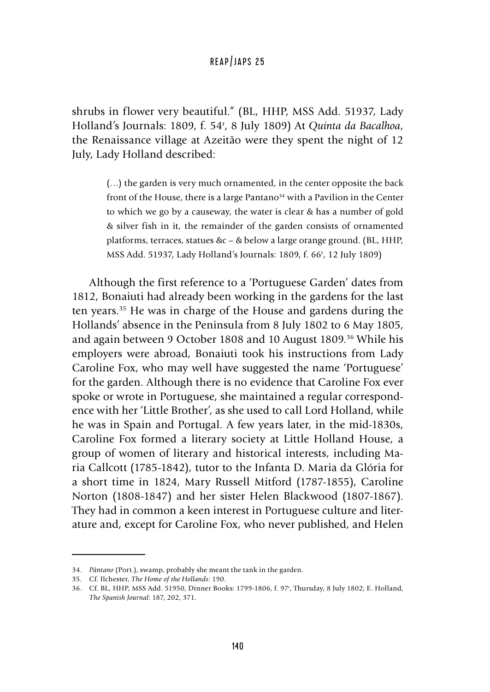shrubs in flower very beautiful." (BL, HHP, MSS Add. 51937, Lady Holland's Journals: 1809, f. 54r , 8 July 1809) At *Quinta da Bacalhoa*, the Renaissance village at Azeitão were they spent the night of 12 July, Lady Holland described:

> (…) the garden is very much ornamented, in the center opposite the back front of the House, there is a large Pantano<sup>34</sup> with a Pavilion in the Center to which we go by a causeway, the water is clear & has a number of gold & silver fish in it, the remainder of the garden consists of ornamented platforms, terraces, statues &c – & below a large orange ground. (BL, HHP, MSS Add. 51937, Lady Holland's Journals: 1809, f. 66r , 12 July 1809)

Although the first reference to a 'Portuguese Garden' dates from 1812, Bonaiuti had already been working in the gardens for the last ten years.35 He was in charge of the House and gardens during the Hollands' absence in the Peninsula from 8 July 1802 to 6 May 1805, and again between 9 October 1808 and 10 August 1809.<sup>36</sup> While his employers were abroad, Bonaiuti took his instructions from Lady Caroline Fox, who may well have suggested the name 'Portuguese' for the garden. Although there is no evidence that Caroline Fox ever spoke or wrote in Portuguese, she maintained a regular correspondence with her 'Little Brother', as she used to call Lord Holland, while he was in Spain and Portugal. A few years later, in the mid-1830s, Caroline Fox formed a literary society at Little Holland House, a group of women of literary and historical interests, including Maria Callcott (1785-1842), tutor to the Infanta D. Maria da Glória for a short time in 1824, Mary Russell Mitford (1787-1855), Caroline Norton (1808-1847) and her sister Helen Blackwood (1807-1867). They had in common a keen interest in Portuguese culture and literature and, except for Caroline Fox, who never published, and Helen

<sup>34.</sup> *Pântano* (Port.), swamp, probably she meant the tank in the garden.

<sup>35.</sup> Cf. Ilchester, *The Home of the Hollands*: 190.

<sup>36.</sup> Cf. BL, HHP, MSS Add. 51950, Dinner Books: 1799-1806, f. 97r , Thursday, 8 July 1802; E. Holland, *The Spanish Journal*: 187, 202, 371.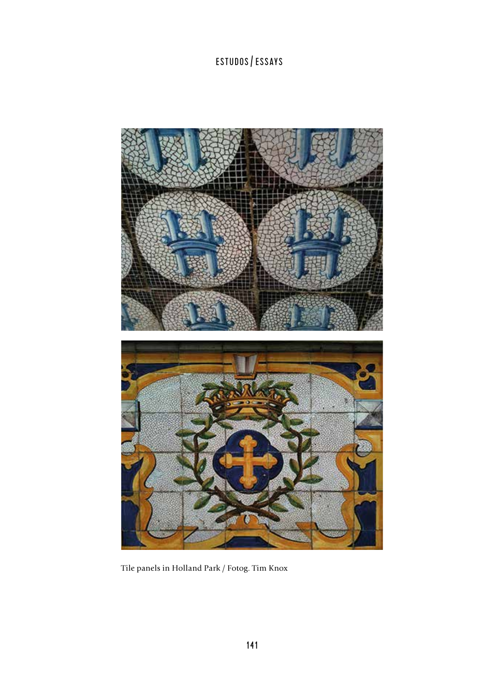

Tile panels in Holland Park / Fotog. Tim Knox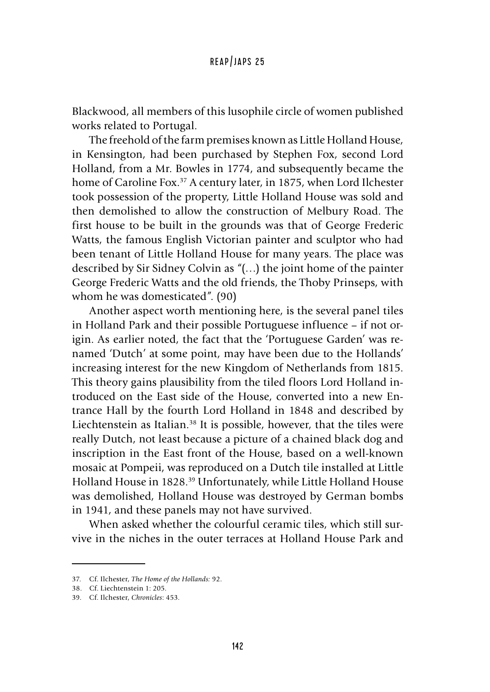Blackwood, all members of this lusophile circle of women published works related to Portugal.

The freehold of the farm premises known as Little Holland House, in Kensington, had been purchased by Stephen Fox, second Lord Holland, from a Mr. Bowles in 1774, and subsequently became the home of Caroline Fox.<sup>37</sup> A century later, in 1875, when Lord Ilchester took possession of the property, Little Holland House was sold and then demolished to allow the construction of Melbury Road. The first house to be built in the grounds was that of George Frederic Watts, the famous English Victorian painter and sculptor who had been tenant of Little Holland House for many years. The place was described by Sir Sidney Colvin as "(…) the joint home of the painter George Frederic Watts and the old friends, the Thoby Prinseps, with whom he was domesticated". (90)

Another aspect worth mentioning here, is the several panel tiles in Holland Park and their possible Portuguese influence – if not origin. As earlier noted, the fact that the 'Portuguese Garden' was renamed 'Dutch' at some point, may have been due to the Hollands' increasing interest for the new Kingdom of Netherlands from 1815. This theory gains plausibility from the tiled floors Lord Holland introduced on the East side of the House, converted into a new Entrance Hall by the fourth Lord Holland in 1848 and described by Liechtenstein as Italian.<sup>38</sup> It is possible, however, that the tiles were really Dutch, not least because a picture of a chained black dog and inscription in the East front of the House, based on a well-known mosaic at Pompeii, was reproduced on a Dutch tile installed at Little Holland House in 1828.39 Unfortunately, while Little Holland House was demolished, Holland House was destroyed by German bombs in 1941, and these panels may not have survived.

When asked whether the colourful ceramic tiles, which still survive in the niches in the outer terraces at Holland House Park and

<sup>37.</sup> Cf. Ilchester, *The Home of the Hollands:* 92.

<sup>38.</sup> Cf. Liechtenstein 1: 205.

<sup>39.</sup> Cf. Ilchester, *Chronicles*: 453.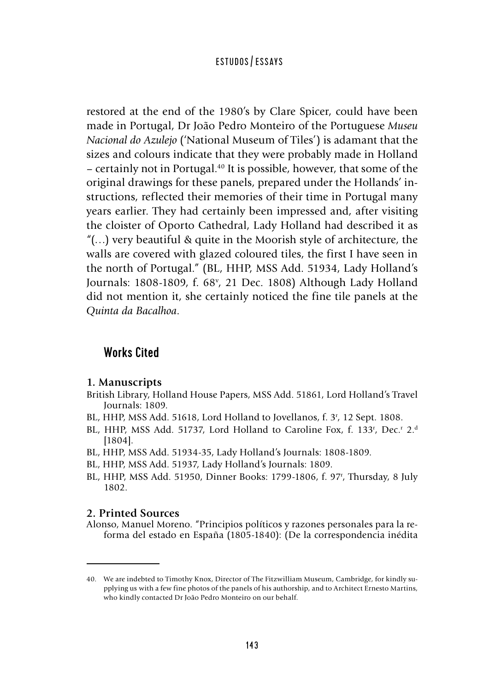restored at the end of the 1980's by Clare Spicer, could have been made in Portugal, Dr João Pedro Monteiro of the Portuguese *Museu Nacional do Azulejo* ('National Museum of Tiles') is adamant that the sizes and colours indicate that they were probably made in Holland – certainly not in Portugal.<sup>40</sup> It is possible, however, that some of the original drawings for these panels, prepared under the Hollands' instructions, reflected their memories of their time in Portugal many years earlier. They had certainly been impressed and, after visiting the cloister of Oporto Cathedral, Lady Holland had described it as "(…) very beautiful & quite in the Moorish style of architecture, the walls are covered with glazed coloured tiles, the first I have seen in the north of Portugal." (BL, HHP, MSS Add. 51934, Lady Holland's Journals: 1808-1809, f. 68<sup>v</sup>, 21 Dec. 1808) Although Lady Holland did not mention it, she certainly noticed the fine tile panels at the *Quinta da Bacalhoa*.

# Works Cited

#### **1. Manuscripts**

- British Library, Holland House Papers, MSS Add. 51861, Lord Holland's Travel Journals: 1809.
- BL, HHP, MSS Add. 51618, Lord Holland to Jovellanos, f. 3<sup>r</sup>, 12 Sept. 1808.
- BL, HHP, MSS Add. 51737, Lord Holland to Caroline Fox, f. 133<sup>r</sup>, Dec.<sup>r</sup> 2.<sup>d</sup> [1804].
- BL, HHP, MSS Add. 51934-35, Lady Holland's Journals: 1808-1809.
- BL, HHP, MSS Add. 51937, Lady Holland's Journals: 1809.
- BL, HHP, MSS Add. 51950, Dinner Books: 1799-1806, f. 97r , Thursday, 8 July 1802.

#### **2. Printed Sources**

Alonso, Manuel Moreno. "Principios políticos y razones personales para la reforma del estado en España (1805-1840): (De la correspondencia inédita

<sup>40.</sup> We are indebted to Timothy Knox, Director of The Fitzwilliam Museum, Cambridge, for kindly supplying us with a few fine photos of the panels of his authorship, and to Architect Ernesto Martins, who kindly contacted Dr João Pedro Monteiro on our behalf.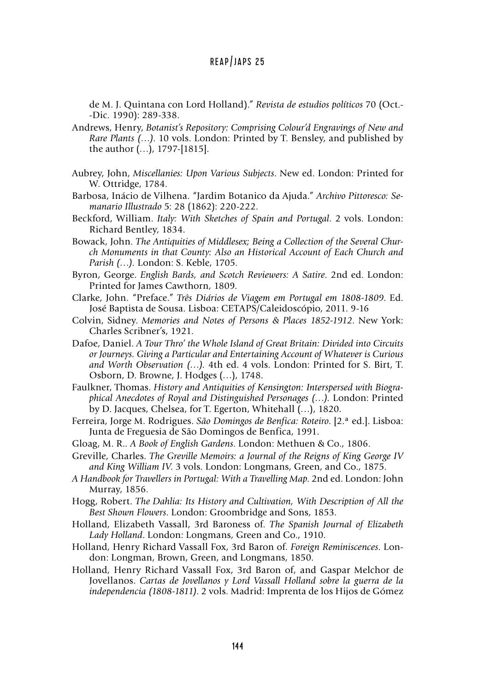de M. J. Quintana con Lord Holland)." *Revista de estudios políticos* 70 (Oct.- -Dic. 1990): 289-338.

- Andrews, Henry, *Botanist's Repository: Comprising Colour'd Engravings of New and Rare Plants (…)*. 10 vols. London: Printed by T. Bensley, and published by the author (…), 1797-[1815].
- Aubrey, John, *Miscellanies: Upon Various Subjects*. New ed. London: Printed for W. Ottridge, 1784.
- Barbosa, Inácio de Vilhena. "Jardim Botanico da Ajuda." *Archivo Pittoresco: Semanario Illustrado* 5: 28 (1862): 220-222.
- Beckford, William. *Italy: With Sketches of Spain and Portugal*. 2 vols. London: Richard Bentley, 1834.
- Bowack, John. *The Antiquities of Middlesex; Being a Collection of the Several Church Monuments in that County: Also an Historical Account of Each Church and Parish (…).* London: S. Keble, 1705.
- Byron, George. *English Bards, and Scotch Reviewers: A Satire*. 2nd ed. London: Printed for James Cawthorn, 1809.
- Clarke, John. "Preface." *Três Diários de Viagem em Portugal em 1808-1809*. Ed. José Baptista de Sousa. Lisboa: CETAPS/Caleidoscópio, 2011. 9-16
- Colvin, Sidney. *Memories and Notes of Persons & Places 1852-1912*. New York: Charles Scribner's, 1921.
- Dafoe, Daniel. *A Tour Thro' the Whole Island of Great Britain: Divided into Circuits or Journeys. Giving a Particular and Entertaining Account of Whatever is Curious and Worth Observation (…).* 4th ed. 4 vols. London: Printed for S. Birt, T. Osborn, D. Browne, J. Hodges (…), 1748.
- Faulkner, Thomas. *History and Antiquities of Kensington: Interspersed with Biographical Anecdotes of Royal and Distinguished Personages (…).* London: Printed by D. Jacques, Chelsea, for T. Egerton, Whitehall (…), 1820.
- Ferreira, Jorge M. Rodrigues. *São Domingos de Benfica: Roteiro*. [2.ª ed.]. Lisboa: Junta de Freguesia de São Domingos de Benfica, 1991.
- Gloag, M. R.. *A Book of English Gardens*. London: Methuen & Co., 1806.
- Greville, Charles. *The Greville Memoirs: a Journal of the Reigns of King George IV and King William IV*. 3 vols. London: Longmans, Green, and Co., 1875.
- *A Handbook for Travellers in Portugal: With a Travelling Map*. 2nd ed. London: John Murray, 1856.
- Hogg, Robert. *The Dahlia: Its History and Cultivation, With Description of All the Best Shown Flowers*. London: Groombridge and Sons, 1853.
- Holland, Elizabeth Vassall, 3rd Baroness of. *The Spanish Journal of Elizabeth Lady Holland*. London: Longmans, Green and Co., 1910.
- Holland, Henry Richard Vassall Fox, 3rd Baron of. *Foreign Reminiscences*. London: Longman, Brown, Green, and Longmans, 1850.
- Holland, Henry Richard Vassall Fox, 3rd Baron of, and Gaspar Melchor de Jovellanos. *Cartas de Jovellanos y Lord Vassall Holland sobre la guerra de la independencia (1808-1811)*. 2 vols. Madrid: Imprenta de los Hijos de Gómez